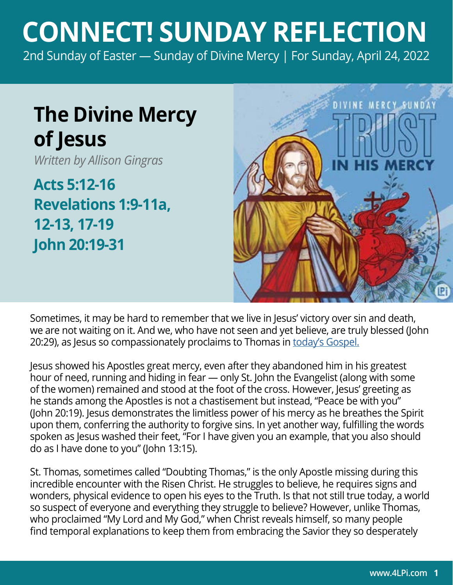## **CONNECT! SUNDAY REFLECTION**

[2nd Sunday of Easter — Sunday of Divine Mercy | For Sunday, April 24, 2022](https://bible.usccb.org/bible/readings/042422.cfm)

## **The Divine Mercy of Jesus**

*Written by Allison Gingras*

**Acts 5:12-16 Revelations 1:9-11a, 12-13, 17-19 John 20:19-31**



Sometimes, it may be hard to remember that we live in Jesus' victory over sin and death, we are not waiting on it. And we, who have not seen and yet believe, are truly blessed (John 20:29), as Jesus so compassionately proclaims to Thomas in [today's Gospel.](https://bible.usccb.org/bible/john/20?19)

Jesus showed his Apostles great mercy, even after they abandoned him in his greatest hour of need, running and hiding in fear — only St. John the Evangelist (along with some of the women) remained and stood at the foot of the cross. However, Jesus' greeting as he stands among the Apostles is not a chastisement but instead, "Peace be with you" (John 20:19). Jesus demonstrates the limitless power of his mercy as he breathes the Spirit upon them, conferring the authority to forgive sins. In yet another way, fulfilling the words spoken as Jesus washed their feet, "For I have given you an example, that you also should do as I have done to you" (John 13:15).

St. Thomas, sometimes called "Doubting Thomas," is the only Apostle missing during this incredible encounter with the Risen Christ. He struggles to believe, he requires signs and wonders, physical evidence to open his eyes to the Truth. Is that not still true today, a world so suspect of everyone and everything they struggle to believe? However, unlike Thomas, who proclaimed "My Lord and My God," when Christ reveals himself, so many people find temporal explanations to keep them from embracing the Savior they so desperately